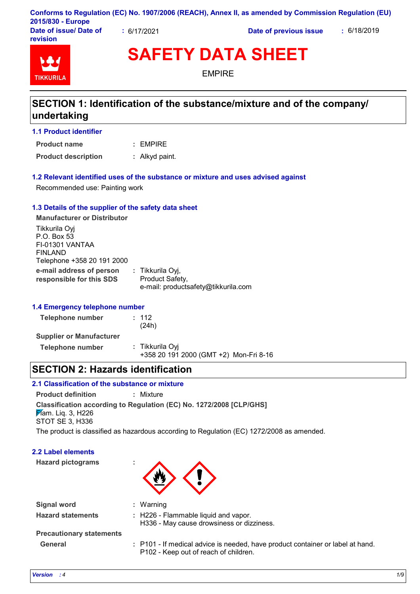|                        |           | Conforms to Regulation (EC) No. 1907/2006 (REACH), Annex II, as amended by Commission Regulation (EU) |             |
|------------------------|-----------|-------------------------------------------------------------------------------------------------------|-------------|
| 2015/830 - Europe      |           |                                                                                                       |             |
| Date of issue/ Date of | 6/17/2021 | Date of previous issue                                                                                | : 6/18/2019 |

**TIKKURII** 

**revision**

# **SAFETY DATA SHEET**

EMPIRE

### **SECTION 1: Identification of the substance/mixture and of the company/ undertaking**

e-mail: productsafety@tikkurila.com

#### **1.1 Product identifier**

EMPIRE **: Product name**

**Product description :** Alkyd paint.

#### **1.2 Relevant identified uses of the substance or mixture and uses advised against**

Recommended use: Painting work

#### **1.3 Details of the supplier of the safety data sheet**

**e-mail address of person responsible for this SDS :** Tikkurila Oyj, Product Safety, **Manufacturer or Distributor** Tikkurila Oyj P.O. Box 53 FI-01301 VANTAA FINLAND Telephone +358 20 191 2000

#### **1.4 Emergency telephone number**

| Telephone number                | : 112<br>(24h)                                            |
|---------------------------------|-----------------------------------------------------------|
| <b>Supplier or Manufacturer</b> |                                                           |
| Telephone number                | : Tikkurila Oyi<br>+358 20 191 2000 (GMT +2) Mon-Fri 8-16 |

### **SECTION 2: Hazards identification**

### **2.1 Classification of the substance or mixture**

**Product definition :** Mixture

**Classification according to Regulation (EC) No. 1272/2008 [CLP/GHS]**

**F**lam. Lig. 3, H226 STOT SE 3, H336

The product is classified as hazardous according to Regulation (EC) 1272/2008 as amended.

#### **2.2 Label elements**

**Hazard pictograms :**

| : Warning                                                                                                               |
|-------------------------------------------------------------------------------------------------------------------------|
| : H226 - Flammable liquid and vapor.                                                                                    |
| H336 - May cause drowsiness or dizziness.                                                                               |
|                                                                                                                         |
| : P101 - If medical advice is needed, have product container or label at hand.<br>P102 - Keep out of reach of children. |
|                                                                                                                         |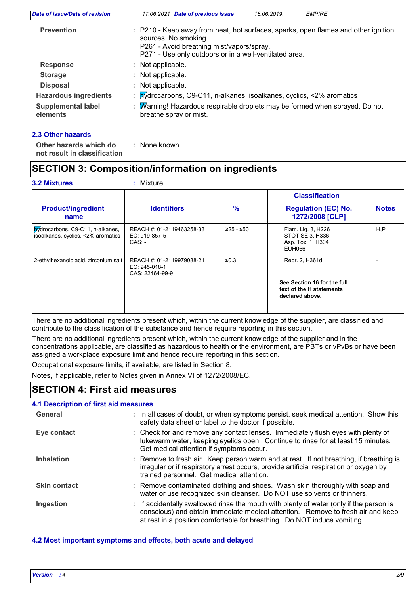| <b>Prevention</b><br>sources. No smoking.<br>P261 - Avoid breathing mist/vapors/spray.<br>P271 - Use only outdoors or in a well-ventilated area.<br>: Not applicable.<br><b>Response</b><br><b>Storage</b><br>: Not applicable.<br><b>Disposal</b><br>: Not applicable.<br>: by drocarbons, C9-C11, n-alkanes, isoalkanes, cyclics, <2% aromatics<br><b>Hazardous ingredients</b> | Date of issue/Date of revision | 17.06.2021 Date of previous issue<br>18.06.2019.<br><b>EMPIRE</b>                  |
|-----------------------------------------------------------------------------------------------------------------------------------------------------------------------------------------------------------------------------------------------------------------------------------------------------------------------------------------------------------------------------------|--------------------------------|------------------------------------------------------------------------------------|
|                                                                                                                                                                                                                                                                                                                                                                                   |                                | : P210 - Keep away from heat, hot surfaces, sparks, open flames and other ignition |
|                                                                                                                                                                                                                                                                                                                                                                                   |                                |                                                                                    |
|                                                                                                                                                                                                                                                                                                                                                                                   |                                |                                                                                    |
|                                                                                                                                                                                                                                                                                                                                                                                   |                                |                                                                                    |
|                                                                                                                                                                                                                                                                                                                                                                                   |                                |                                                                                    |
| <b>Supplemental label</b><br>breathe spray or mist.<br>elements                                                                                                                                                                                                                                                                                                                   |                                | : Marning! Hazardous respirable droplets may be formed when sprayed. Do not        |

#### **2.3 Other hazards**

| Other hazards which do       |  | : None known. |  |
|------------------------------|--|---------------|--|
| not result in classification |  |               |  |

### **SECTION 3: Composition/information on ingredients**

|                                                                        |                                                               |               | <b>Classification</b>                                                      |              |
|------------------------------------------------------------------------|---------------------------------------------------------------|---------------|----------------------------------------------------------------------------|--------------|
| <b>Product/ingredient</b><br>name                                      | <b>Identifiers</b>                                            | $\frac{9}{6}$ | <b>Regulation (EC) No.</b><br>1272/2008 [CLP]                              | <b>Notes</b> |
| bydrocarbons, C9-C11, n-alkanes,<br>isoalkanes, cyclics, <2% aromatics | REACH #: 01-2119463258-33<br>EC: 919-857-5<br>$CAS: -$        | ≥25 - ≤50     | Flam. Lig. 3, H226<br>STOT SE 3, H336<br>Asp. Tox. 1, H304<br>EUH066       | H.P          |
| 2-ethylhexanoic acid, zirconium salt                                   | REACH #: 01-2119979088-21<br>EC: 245-018-1<br>CAS: 22464-99-9 | ≤0.3          | Repr. 2, H361d                                                             |              |
|                                                                        |                                                               |               | See Section 16 for the full<br>text of the H statements<br>declared above. |              |

There are no additional ingredients present which, within the current knowledge of the supplier, are classified and contribute to the classification of the substance and hence require reporting in this section.

There are no additional ingredients present which, within the current knowledge of the supplier and in the concentrations applicable, are classified as hazardous to health or the environment, are PBTs or vPvBs or have been assigned a workplace exposure limit and hence require reporting in this section.

Occupational exposure limits, if available, are listed in Section 8.

Notes, if applicable, refer to Notes given in Annex VI of 1272/2008/EC.

### **SECTION 4: First aid measures**

#### **4.1 Description of first aid measures**

| General             | : In all cases of doubt, or when symptoms persist, seek medical attention. Show this<br>safety data sheet or label to the doctor if possible.                                                                                                          |
|---------------------|--------------------------------------------------------------------------------------------------------------------------------------------------------------------------------------------------------------------------------------------------------|
| Eye contact         | : Check for and remove any contact lenses. Immediately flush eyes with plenty of<br>lukewarm water, keeping eyelids open. Continue to rinse for at least 15 minutes.<br>Get medical attention if symptoms occur.                                       |
| <b>Inhalation</b>   | : Remove to fresh air. Keep person warm and at rest. If not breathing, if breathing is<br>irregular or if respiratory arrest occurs, provide artificial respiration or oxygen by<br>trained personnel. Get medical attention.                          |
| <b>Skin contact</b> | : Remove contaminated clothing and shoes. Wash skin thoroughly with soap and<br>water or use recognized skin cleanser. Do NOT use solvents or thinners.                                                                                                |
| Ingestion           | : If accidentally swallowed rinse the mouth with plenty of water (only if the person is<br>conscious) and obtain immediate medical attention. Remove to fresh air and keep<br>at rest in a position comfortable for breathing. Do NOT induce vomiting. |

#### **4.2 Most important symptoms and effects, both acute and delayed**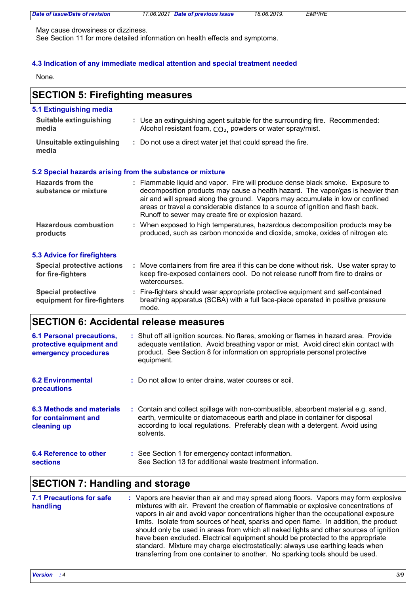| Date of issue/Date of revision | 17.06.2021 Date of previous issue | 18.06.2019. | <i>EMPIRE</i> |  |
|--------------------------------|-----------------------------------|-------------|---------------|--|

May cause drowsiness or dizziness.

See Section 11 for more detailed information on health effects and symptoms.

#### **4.3 Indication of any immediate medical attention and special treatment needed**

None.

### **SECTION 5: Firefighting measures**

| 5.1 Extinguishing media                                  |                                                                                                                                                                                                                                                                                                                                                                                                |
|----------------------------------------------------------|------------------------------------------------------------------------------------------------------------------------------------------------------------------------------------------------------------------------------------------------------------------------------------------------------------------------------------------------------------------------------------------------|
| <b>Suitable extinguishing</b><br>media                   | : Use an extinguishing agent suitable for the surrounding fire. Recommended:<br>Alcohol resistant foam, $CO2$ , powders or water spray/mist.                                                                                                                                                                                                                                                   |
| Unsuitable extinguishing<br>media                        | : Do not use a direct water jet that could spread the fire.                                                                                                                                                                                                                                                                                                                                    |
|                                                          | 5.2 Special hazards arising from the substance or mixture                                                                                                                                                                                                                                                                                                                                      |
| <b>Hazards from the</b><br>substance or mixture          | : Flammable liquid and vapor. Fire will produce dense black smoke. Exposure to<br>decomposition products may cause a health hazard. The vapor/gas is heavier than<br>air and will spread along the ground. Vapors may accumulate in low or confined<br>areas or travel a considerable distance to a source of ignition and flash back.<br>Runoff to sewer may create fire or explosion hazard. |
| <b>Hazardous combustion</b><br>products                  | : When exposed to high temperatures, hazardous decomposition products may be<br>produced, such as carbon monoxide and dioxide, smoke, oxides of nitrogen etc.                                                                                                                                                                                                                                  |
| 5.3 Advice for firefighters                              |                                                                                                                                                                                                                                                                                                                                                                                                |
| <b>Special protective actions</b><br>for fire-fighters   | : Move containers from fire area if this can be done without risk. Use water spray to<br>keep fire-exposed containers cool. Do not release runoff from fire to drains or<br>watercourses.                                                                                                                                                                                                      |
| <b>Special protective</b><br>equipment for fire-fighters | : Fire-fighters should wear appropriate protective equipment and self-contained<br>breathing apparatus (SCBA) with a full face-piece operated in positive pressure                                                                                                                                                                                                                             |

### **SECTION 6: Accidental release measures**

mode.

| <b>6.1 Personal precautions,</b><br>protective equipment and    | : Shut off all ignition sources. No flares, smoking or flames in hazard area. Provide<br>adequate ventilation. Avoid breathing vapor or mist. Avoid direct skin contact with                                                                                      |
|-----------------------------------------------------------------|-------------------------------------------------------------------------------------------------------------------------------------------------------------------------------------------------------------------------------------------------------------------|
| emergency procedures                                            | product. See Section 8 for information on appropriate personal protective<br>equipment.                                                                                                                                                                           |
| <b>6.2 Environmental</b><br>precautions                         | : Do not allow to enter drains, water courses or soil.                                                                                                                                                                                                            |
| 6.3 Methods and materials<br>for containment and<br>cleaning up | : Contain and collect spillage with non-combustible, absorbent material e.g. sand,<br>earth, vermiculite or diatomaceous earth and place in container for disposal<br>according to local regulations. Preferably clean with a detergent. Avoid using<br>solvents. |
| 6.4 Reference to other<br><b>sections</b>                       | : See Section 1 for emergency contact information.<br>See Section 13 for additional waste treatment information.                                                                                                                                                  |

### **SECTION 7: Handling and storage**

| <b>7.1 Precautions for safe</b><br>handling | : Vapors are heavier than air and may spread along floors. Vapors may form explosive<br>mixtures with air. Prevent the creation of flammable or explosive concentrations of<br>vapors in air and avoid vapor concentrations higher than the occupational exposure<br>limits. Isolate from sources of heat, sparks and open flame. In addition, the product<br>should only be used in areas from which all naked lights and other sources of ignition<br>have been excluded. Electrical equipment should be protected to the appropriate<br>standard. Mixture may charge electrostatically: always use earthing leads when |
|---------------------------------------------|---------------------------------------------------------------------------------------------------------------------------------------------------------------------------------------------------------------------------------------------------------------------------------------------------------------------------------------------------------------------------------------------------------------------------------------------------------------------------------------------------------------------------------------------------------------------------------------------------------------------------|
|                                             | transferring from one container to another. No sparking tools should be used.                                                                                                                                                                                                                                                                                                                                                                                                                                                                                                                                             |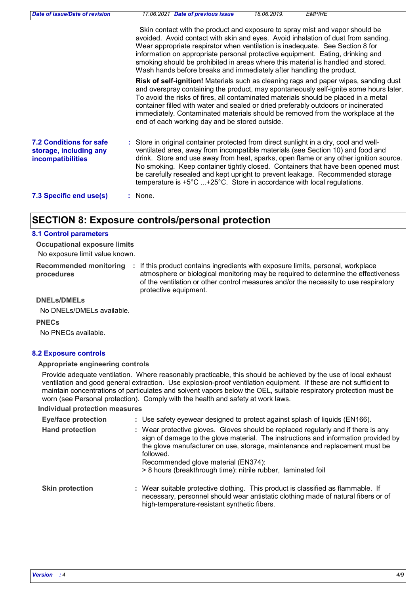| Date of issue/Date of revision                                                | 17.06.2021 Date of previous issue<br>18.06.2019.<br><b>EMPIRE</b>                                                                                                                                                                                                                                                                                                                                                                                                                                                            |
|-------------------------------------------------------------------------------|------------------------------------------------------------------------------------------------------------------------------------------------------------------------------------------------------------------------------------------------------------------------------------------------------------------------------------------------------------------------------------------------------------------------------------------------------------------------------------------------------------------------------|
|                                                                               | Skin contact with the product and exposure to spray mist and vapor should be<br>avoided. Avoid contact with skin and eyes. Avoid inhalation of dust from sanding.<br>Wear appropriate respirator when ventilation is inadequate. See Section 8 for<br>information on appropriate personal protective equipment. Eating, drinking and<br>smoking should be prohibited in areas where this material is handled and stored.<br>Wash hands before breaks and immediately after handling the product.                             |
|                                                                               | Risk of self-ignition! Materials such as cleaning rags and paper wipes, sanding dust<br>and overspray containing the product, may spontaneously self-ignite some hours later.<br>To avoid the risks of fires, all contaminated materials should be placed in a metal<br>container filled with water and sealed or dried preferably outdoors or incinerated<br>immediately. Contaminated materials should be removed from the workplace at the<br>end of each working day and be stored outside.                              |
| <b>7.2 Conditions for safe</b><br>storage, including any<br>incompatibilities | : Store in original container protected from direct sunlight in a dry, cool and well-<br>ventilated area, away from incompatible materials (see Section 10) and food and<br>drink. Store and use away from heat, sparks, open flame or any other ignition source.<br>No smoking. Keep container tightly closed. Containers that have been opened must<br>be carefully resealed and kept upright to prevent leakage. Recommended storage<br>temperature is $+5^{\circ}$ C  +25°C. Store in accordance with local regulations. |
| 7.3 Specific end use(s)                                                       | $:$ None.                                                                                                                                                                                                                                                                                                                                                                                                                                                                                                                    |

### **SECTION 8: Exposure controls/personal protection**

#### **8.1 Control parameters**

No exposure limit value known. **Occupational exposure limits**

**Recommended monitoring procedures** : If this product contains ingredients with exposure limits, personal, workplace atmosphere or biological monitoring may be required to determine the effectiveness of the ventilation or other control measures and/or the necessity to use respiratory protective equipment.

**DNELs/DMELs**

No DNELs/DMELs available.

**PNECs**

No PNECs available.

#### **8.2 Exposure controls**

#### **Appropriate engineering controls**

Provide adequate ventilation. Where reasonably practicable, this should be achieved by the use of local exhaust ventilation and good general extraction. Use explosion-proof ventilation equipment. If these are not sufficient to maintain concentrations of particulates and solvent vapors below the OEL, suitable respiratory protection must be worn (see Personal protection). Comply with the health and safety at work laws.

#### **Individual protection measures**

| <b>Eye/face protection</b> | : Use safety eyewear designed to protect against splash of liquids (EN166).                                                                                                                                                                                                                                                                                                 |
|----------------------------|-----------------------------------------------------------------------------------------------------------------------------------------------------------------------------------------------------------------------------------------------------------------------------------------------------------------------------------------------------------------------------|
| <b>Hand protection</b>     | : Wear protective gloves. Gloves should be replaced regularly and if there is any<br>sign of damage to the glove material. The instructions and information provided by<br>the glove manufacturer on use, storage, maintenance and replacement must be<br>followed.<br>Recommended glove material (EN374):<br>> 8 hours (breakthrough time): nitrile rubber, laminated foil |
| <b>Skin protection</b>     | : Wear suitable protective clothing. This product is classified as flammable. If<br>necessary, personnel should wear antistatic clothing made of natural fibers or of<br>high-temperature-resistant synthetic fibers.                                                                                                                                                       |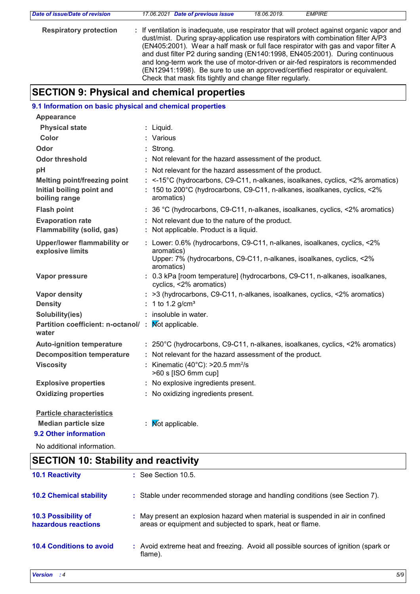| Date of issue/Date of revision | 17.06.2021 Date of previous issue                                                                                                                                              | 18.06.2019. | <b>EMPIRE</b> |  |
|--------------------------------|--------------------------------------------------------------------------------------------------------------------------------------------------------------------------------|-------------|---------------|--|
| <b>Respiratory protection</b>  | : If ventilation is inadequate, use respirator that will protect against organic vapor and<br>dust/mist. During spray-application use respirators with combination filter A/P3 |             |               |  |
|                                | (EN405:2001). Wear a half mask or full face respirator with gas and vapor filter A<br>and dust filter P2 during sanding (EN140:1998, EN405:2001). During continuous            |             |               |  |
|                                | and long-term work the use of motor-driven or air-fed respirators is recommended                                                                                               |             |               |  |
|                                | (EN12941:1998). Be sure to use an approved/certified respirator or equivalent.<br>Check that mask fits tightly and change filter regularly.                                    |             |               |  |

# **SECTION 9: Physical and chemical properties**

| 9.1 Information on basic physical and chemical properties                         |                                                                                                                                                                              |
|-----------------------------------------------------------------------------------|------------------------------------------------------------------------------------------------------------------------------------------------------------------------------|
| <b>Appearance</b>                                                                 |                                                                                                                                                                              |
| <b>Physical state</b>                                                             | : Liquid.                                                                                                                                                                    |
| <b>Color</b>                                                                      | : Various                                                                                                                                                                    |
| Odor                                                                              | : Strong.                                                                                                                                                                    |
| <b>Odor threshold</b>                                                             | : Not relevant for the hazard assessment of the product.                                                                                                                     |
| pH                                                                                | : Not relevant for the hazard assessment of the product.                                                                                                                     |
| <b>Melting point/freezing point</b><br>Initial boiling point and<br>boiling range | : <-15°C (hydrocarbons, C9-C11, n-alkanes, isoalkanes, cyclics, <2% aromatics)<br>: 150 to 200°C (hydrocarbons, C9-C11, n-alkanes, isoalkanes, cyclics, <2%<br>aromatics)    |
| <b>Flash point</b>                                                                | : 36 °C (hydrocarbons, C9-C11, n-alkanes, isoalkanes, cyclics, <2% aromatics)                                                                                                |
| <b>Evaporation rate</b><br>Flammability (solid, gas)                              | : Not relevant due to the nature of the product.<br>: Not applicable. Product is a liquid.                                                                                   |
| <b>Upper/lower flammability or</b><br>explosive limits                            | : Lower: 0.6% (hydrocarbons, C9-C11, n-alkanes, isoalkanes, cyclics, <2%<br>aromatics)<br>Upper: 7% (hydrocarbons, C9-C11, n-alkanes, isoalkanes, cyclics, <2%<br>aromatics) |
| Vapor pressure                                                                    | : 0.3 kPa [room temperature] (hydrocarbons, C9-C11, n-alkanes, isoalkanes,<br>cyclics, <2% aromatics)                                                                        |
| <b>Vapor density</b>                                                              | : >3 (hydrocarbons, C9-C11, n-alkanes, isoalkanes, cyclics, <2% aromatics)                                                                                                   |
| <b>Density</b>                                                                    | : 1 to 1.2 $g/cm^{3}$                                                                                                                                                        |
| Solubility(ies)                                                                   | : insoluble in water.                                                                                                                                                        |
| Partition coefficient: n-octanol/ : Mot applicable.<br>water                      |                                                                                                                                                                              |
| <b>Auto-ignition temperature</b>                                                  | : 250°C (hydrocarbons, C9-C11, n-alkanes, isoalkanes, cyclics, <2% aromatics)                                                                                                |
| <b>Decomposition temperature</b>                                                  | : Not relevant for the hazard assessment of the product.                                                                                                                     |
| <b>Viscosity</b>                                                                  | : Kinematic $(40^{\circ}$ C): >20.5 mm <sup>2</sup> /s<br>>60 s [ISO 6mm cup]                                                                                                |
| <b>Explosive properties</b>                                                       | : No explosive ingredients present.                                                                                                                                          |
| <b>Oxidizing properties</b>                                                       | : No oxidizing ingredients present.                                                                                                                                          |
| <b>Particle characteristics</b>                                                   |                                                                                                                                                                              |
| <b>Median particle size</b>                                                       | <b>Not applicable.</b>                                                                                                                                                       |
| 9.2 Other information                                                             |                                                                                                                                                                              |

No additional information.

| <b>SECTION 10: Stability and reactivity</b> |                                                                                                                                              |  |
|---------------------------------------------|----------------------------------------------------------------------------------------------------------------------------------------------|--|
| <b>10.1 Reactivity</b>                      | $\therefore$ See Section 10.5.                                                                                                               |  |
| <b>10.2 Chemical stability</b>              | : Stable under recommended storage and handling conditions (see Section 7).                                                                  |  |
| 10.3 Possibility of<br>hazardous reactions  | : May present an explosion hazard when material is suspended in air in confined<br>areas or equipment and subjected to spark, heat or flame. |  |
| <b>10.4 Conditions to avoid</b>             | : Avoid extreme heat and freezing. Avoid all possible sources of ignition (spark or<br>flame).                                               |  |

 $\overline{1}$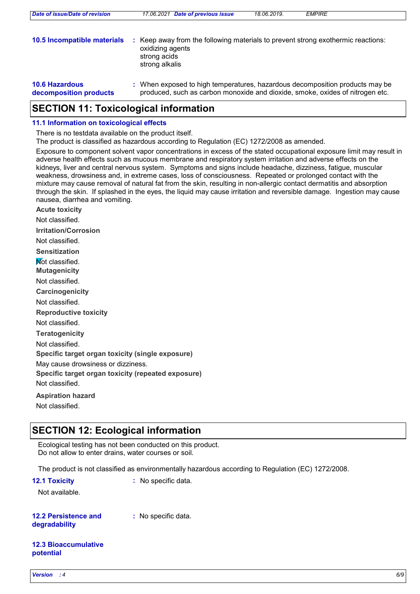| 10.5 Incompatible materials                     | Keep away from the following materials to prevent strong exothermic reactions:<br>oxidizing agents<br>strong acids<br>strong alkalis                          |
|-------------------------------------------------|---------------------------------------------------------------------------------------------------------------------------------------------------------------|
| <b>10.6 Hazardous</b><br>decomposition products | : When exposed to high temperatures, hazardous decomposition products may be<br>produced, such as carbon monoxide and dioxide, smoke, oxides of nitrogen etc. |

### **SECTION 11: Toxicological information**

#### **11.1 Information on toxicological effects**

There is no testdata available on the product itself.

The product is classified as hazardous according to Regulation (EC) 1272/2008 as amended.

*Date of issue/Date of revision 17.06.2021 Date of previous issue 18.06.2019. EMPIRE*

Exposure to component solvent vapor concentrations in excess of the stated occupational exposure limit may result in adverse health effects such as mucous membrane and respiratory system irritation and adverse effects on the kidneys, liver and central nervous system. Symptoms and signs include headache, dizziness, fatigue, muscular weakness, drowsiness and, in extreme cases, loss of consciousness. Repeated or prolonged contact with the mixture may cause removal of natural fat from the skin, resulting in non-allergic contact dermatitis and absorption through the skin. If splashed in the eyes, the liquid may cause irritation and reversible damage. Ingestion may cause nausea, diarrhea and vomiting.

**Acute toxicity Carcinogenicity Mutagenicity Teratogenicity Reproductive toxicity Irritation/Corrosion Sensitization Specific target organ toxicity (single exposure) Specific target organ toxicity (repeated exposure) Aspiration hazard** Not classified. Not classified. Not classified. Not classified. Not classified. Not classified. **Not classified** May cause drowsiness or dizziness. Not classified. Not classified.

### **SECTION 12: Ecological information**

Ecological testing has not been conducted on this product. Do not allow to enter drains, water courses or soil.

The product is not classified as environmentally hazardous according to Regulation (EC) 1272/2008.

| <b>12.1 Toxicity</b> | $\therefore$ No specific data. |
|----------------------|--------------------------------|
|----------------------|--------------------------------|

Not available.

#### **12.2 Persistence and degradability**

**:** No specific data.

#### **12.3 Bioaccumulative potential**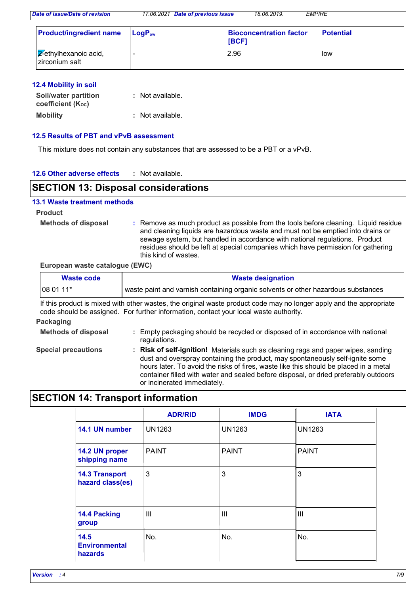*Date of issue/Date of revision 17.06.2021 Date of previous issue 18.06.2019. EMPIRE*

| <b>Product/ingredient name</b>                    | $LogP_{ow}$ | <b>Bioconcentration factor</b><br>[BCF] | <b>Potential</b> |
|---------------------------------------------------|-------------|-----------------------------------------|------------------|
| $\sqrt{2}$ -ethylhexanoic acid,<br>zirconium salt |             | 2.96                                    | low              |

#### **12.4 Mobility in soil**

| <b>Soil/water partition</b><br>coefficient $(K_{oc})$ | : Not available. |
|-------------------------------------------------------|------------------|
| <b>Mobility</b>                                       | : Not available. |

#### **12.5 Results of PBT and vPvB assessment**

This mixture does not contain any substances that are assessed to be a PBT or a vPvB.

#### **12.6 Other adverse effects :**

### **SECTION 13: Disposal considerations**

#### **13.1 Waste treatment methods**

**Product**

**Methods of disposal :**

Remove as much product as possible from the tools before cleaning. Liquid residue and cleaning liquids are hazardous waste and must not be emptied into drains or sewage system, but handled in accordance with national regulations. Product residues should be left at special companies which have permission for gathering this kind of wastes.

container filled with water and sealed before disposal, or dried preferably outdoors

#### **European waste catalogue (EWC)**

| <b>Waste code</b> | <b>Waste designation</b>                                                          |  |
|-------------------|-----------------------------------------------------------------------------------|--|
| 108 01 11*        | waste paint and varnish containing organic solvents or other hazardous substances |  |

If this product is mixed with other wastes, the original waste product code may no longer apply and the appropriate code should be assigned. For further information, contact your local waste authority.

#### **Packaging**

| <b>Methods of disposal</b> | Empty packaging should be recycled or disposed of in accordance with national<br>regulations.                                                                                                                                                                    |
|----------------------------|------------------------------------------------------------------------------------------------------------------------------------------------------------------------------------------------------------------------------------------------------------------|
| <b>Special precautions</b> | <b>Risk of self-ignition!</b> Materials such as cleaning rags and paper wipes, sanding<br>dust and overspray containing the product, may spontaneously self-ignite some<br>hours later. To avoid the risks of fires, waste like this should be placed in a metal |

or incinerated immediately.

### **SECTION 14: Transport information**

|                                           | <b>ADR/RID</b> | <b>IMDG</b>   | <b>IATA</b>   |
|-------------------------------------------|----------------|---------------|---------------|
| 14.1 UN number                            | <b>UN1263</b>  | <b>UN1263</b> | <b>UN1263</b> |
| 14.2 UN proper<br>shipping name           | <b>PAINT</b>   | <b>PAINT</b>  | <b>PAINT</b>  |
| <b>14.3 Transport</b><br>hazard class(es) | 3              | 3             | $\mathbf{3}$  |
| 14.4 Packing<br>group                     | $\mathbf{III}$ | III           | ШI            |
| 14.5<br><b>Environmental</b><br>hazards   | No.            | No.           | No.           |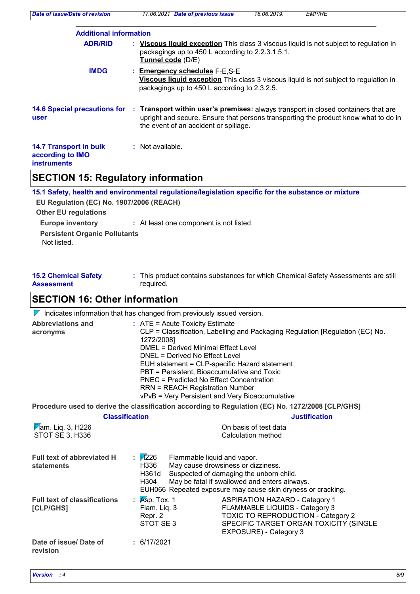| Date of issue/Date of revision                                          | <b>EMPIRE</b><br>17.06.2021 Date of previous issue<br>18.06.2019.                                                                                                                                                  |
|-------------------------------------------------------------------------|--------------------------------------------------------------------------------------------------------------------------------------------------------------------------------------------------------------------|
| <b>Additional information</b>                                           |                                                                                                                                                                                                                    |
| <b>ADR/RID</b>                                                          | : Viscous liquid exception This class 3 viscous liquid is not subject to regulation in<br>packagings up to 450 L according to 2.2.3.1.5.1.<br>Tunnel code (D/E)                                                    |
| <b>IMDG</b>                                                             | : Emergency schedules F-E,S-E<br>Viscous liquid exception This class 3 viscous liquid is not subject to regulation in<br>packagings up to 450 L according to 2.3.2.5.                                              |
| <b>14.6 Special precautions for</b><br>user                             | : Transport within user's premises: always transport in closed containers that are<br>upright and secure. Ensure that persons transporting the product know what to do in<br>the event of an accident or spillage. |
| <b>14.7 Transport in bulk</b><br>according to IMO<br><b>instruments</b> | : Not available.                                                                                                                                                                                                   |

# **SECTION 15: Regulatory information**

| 15.1 Safety, health and environmental regulations/legislation specific for the substance or mixture |  |  |  |  |  |
|-----------------------------------------------------------------------------------------------------|--|--|--|--|--|
| EU Regulation (EC) No. 1907/2006 (REACH)                                                            |  |  |  |  |  |
|                                                                                                     |  |  |  |  |  |
| : At least one component is not listed.                                                             |  |  |  |  |  |
| <b>Persistent Organic Pollutants</b>                                                                |  |  |  |  |  |
|                                                                                                     |  |  |  |  |  |

| <b>15.2 Chemical Safety</b> | This product contains substances for which Chemical Safety Assessments are still |
|-----------------------------|----------------------------------------------------------------------------------|
| <b>Assessment</b>           | required.                                                                        |

## **SECTION 16: Other information**

 $\nabla$  Indicates information that has changed from previously issued version.

| <b>Abbreviations and</b><br>acronyms                 | $:$ ATE = Acute Toxicity Estimate<br>CLP = Classification, Labelling and Packaging Regulation [Regulation (EC) No.<br>1272/2008]<br><b>DMEL = Derived Minimal Effect Level</b><br>DNEL = Derived No Effect Level<br>EUH statement = CLP-specific Hazard statement<br>PBT = Persistent, Bioaccumulative and Toxic<br>PNEC = Predicted No Effect Concentration<br><b>RRN = REACH Registration Number</b><br>vPvB = Very Persistent and Very Bioaccumulative |                                                                                                                                                                                                |  |  |
|------------------------------------------------------|-----------------------------------------------------------------------------------------------------------------------------------------------------------------------------------------------------------------------------------------------------------------------------------------------------------------------------------------------------------------------------------------------------------------------------------------------------------|------------------------------------------------------------------------------------------------------------------------------------------------------------------------------------------------|--|--|
|                                                      |                                                                                                                                                                                                                                                                                                                                                                                                                                                           | Procedure used to derive the classification according to Regulation (EC) No. 1272/2008 [CLP/GHS]                                                                                               |  |  |
| <b>Classification</b>                                |                                                                                                                                                                                                                                                                                                                                                                                                                                                           | <b>Justification</b>                                                                                                                                                                           |  |  |
| <b>F</b> lam. Liq. 3, H226<br><b>STOT SE 3, H336</b> |                                                                                                                                                                                                                                                                                                                                                                                                                                                           | On basis of test data<br>Calculation method                                                                                                                                                    |  |  |
| <b>Full text of abbreviated H</b><br>statements      | : И226<br>Flammable liquid and vapor.<br>H336<br>H361d<br>H304                                                                                                                                                                                                                                                                                                                                                                                            | May cause drowsiness or dizziness.<br>Suspected of damaging the unborn child.<br>May be fatal if swallowed and enters airways.<br>EUH066 Repeated exposure may cause skin dryness or cracking. |  |  |
| <b>Full text of classifications</b><br>[CLP/GHS]     | : $Ksp.$ Tox. 1<br>Flam. Liq. 3<br>Repr. 2<br>STOT SE3                                                                                                                                                                                                                                                                                                                                                                                                    | <b>ASPIRATION HAZARD - Category 1</b><br>FLAMMABLE LIQUIDS - Category 3<br><b>TOXIC TO REPRODUCTION - Category 2</b><br>SPECIFIC TARGET ORGAN TOXICITY (SINGLE<br>EXPOSURE) - Category 3       |  |  |
| Date of issue/ Date of<br>revision                   | : 6/17/2021                                                                                                                                                                                                                                                                                                                                                                                                                                               |                                                                                                                                                                                                |  |  |